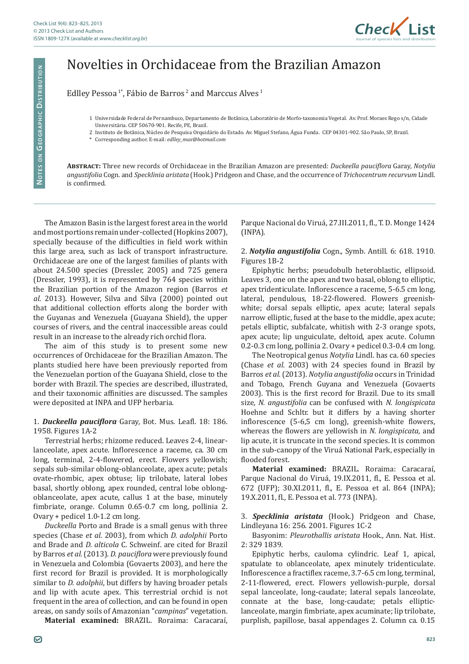

## Novelties in Orchidaceae from the Brazilian Amazon

Edlley Pessoa<sup>1\*</sup>, Fábio de Barros<sup>2</sup> and Marccus Alves<sup>1</sup>

- 1 Universidade Federal de Pernambuco, Departamento de Botânica, Laboratório de Morfo-taxonomia Vegetal. Av. Prof. Moraes Rego s/n, Cidade Universitária. CEP 50670-901. Recife, PE, Brazil.
- 2 Instituto de Botânica, Núcleo de Pesquisa Orquidário do Estado. Av. Miguel Stefano, Água Funda. CEP 04301-902. São Paulo, SP, Brazil.
- \* Corresponding author. E-mail: *edlley\_max@hotmail.com*

**Abstract:** Three new records of Orchidaceae in the Brazilian Amazon are presented: *Duckeella pauciflora* Garay, *Notylia angustifolia* Cogn. and *Specklinia aristata* (Hook.) Pridgeon and Chase, and the occurrence of *Trichocentrum recurvum* Lindl. is confirmed.

The Amazon Basin is the largest forest area in the world and most portions remain under-collected (Hopkins 2007), specially because of the difficulties in field work within this large area, such as lack of transport infrastructure. Orchidaceae are one of the largest families of plants with about 24.500 species (Dressler, 2005) and 725 genera (Dressler, 1993), it is represented by 764 species within the Brazilian portion of the Amazon region (Barros *et al.* 2013). However, Silva and Silva (2000) pointed out that additional collection efforts along the border with the Guyanas and Venezuela (Guayana Shield), the upper courses of rivers, and the central inaccessible areas could result in an increase to the already rich orchid flora.

The aim of this study is to present some new occurrences of Orchidaceae for the Brazilian Amazon. The plants studied here have been previously reported from the Venezuelan portion of the Guayana Shield, close to the border with Brazil. The species are described, illustrated, and their taxonomic affinities are discussed. The samples were deposited at INPA and UFP herbaria.

## 1. *Duckeella pauciflora* Garay, Bot. Mus. Leafl. 18: 186. 1958*.* Figures 1A-2

Terrestrial herbs; rhizome reduced. Leaves 2-4, linearlanceolate, apex acute. Inflorescence a raceme, ca. 30 cm long, terminal, 2-4-flowered, erect. Flowers yellowish; sepals sub-similar oblong-oblanceolate, apex acute; petals ovate-rhombic, apex obtuse; lip trilobate, lateral lobes basal, shortly oblong, apex rounded, central lobe oblongoblanceolate, apex acute, callus 1 at the base, minutely fimbriate, orange. Column 0.65-0.7 cm long, pollinia 2. Ovary + pedicel 1.0-1.2 cm long.

*Duckeella* Porto and Brade is a small genus with three species (Chase *et al.* 2003), from which *D. adolphii* Porto and Brade and *D. alticola* C. Schweinf. are cited for Brazil by Barros *et al.* (2013). *D. pauciflora* were previously found in Venezuela and Colombia (Govaerts 2003), and here the first record for Brazil is provided. It is morphologically similar to *D. adolphii*, but differs by having broader petals and lip with acute apex. This terrestrial orchid is not frequent in the area of collection, and can be found in open areas, on sandy soils of Amazonian "*campinas*" vegetation.

**Material examined:** BRAZIL. Roraima: Caracaraí,

Parque Nacional do Viruá, 27.III.2011, fl., T. D. Monge 1424 (INPA).

2. *Notylia angustifolia* Cogn., Symb. Antill. 6: 618. 1910*.* Figures 1B-2

Epiphytic herbs; pseudobulb heteroblastic, ellipsoid. Leaves 3, one on the apex and two basal, oblong to elliptic, apex tridenticulate. Inflorescence a raceme, 5-6.5 cm long, lateral, pendulous, 18-22-flowered. Flowers greenishwhite; dorsal sepals elliptic, apex acute; lateral sepals narrow elliptic, fused at the base to the middle, apex acute; petals elliptic, subfalcate, whitish with 2-3 orange spots, apex acute; lip unguiculate, deltoid, apex acute. Column 0.2-0.3 cm long, pollinia 2. Ovary + pedicel 0.3-0.4 cm long.

The Neotropical genus *Notylia* Lindl. has ca. 60 species (Chase *et al.* 2003) with 24 species found in Brazil by Barros *et al.* (2013). *Notylia angustifolia* occurs in Trinidad and Tobago, French Guyana and Venezuela (Govaerts 2003). This is the first record for Brazil. Due to its small size, *N. angustifolia* can be confused with *N. longispicata* Hoehne and Schltr. but it differs by a having shorter inflorescence (5-6,5 cm long), greenish-white flowers, whereas the flowers are yellowish in *N. longispicata,* and lip acute, it is truncate in the second species. It is common in the sub-canopy of the Viruá National Park, especially in flooded forest.

**Material examined:** BRAZIL. Roraima: Caracaraí, Parque Nacional do Viruá, 19.IX.2011, fl., E. Pessoa et al. 672 (UFP); 30.XI.2011, fl., E. Pessoa et al. 864 (INPA); 19.X.2011, fl., E. Pessoa et al. 773 (INPA).

3. *Specklinia aristata* (Hook.) Pridgeon and Chase, Lindleyana 16: 256. 2001*.* Figures 1C-2

Basyonim: *Pleurothallis aristata* Hook., Ann. Nat. Hist. 2: 329 1839*.*

Epiphytic herbs, cauloma cylindric. Leaf 1, apical, spatulate to oblanceolate, apex minutely tridenticulate. Inflorescence a fractiflex raceme, 3.7-6.5 cm long, terminal, 2-11-flowered, erect. Flowers yellowish-purple, dorsal sepal lanceolate, long-caudate; lateral sepals lanceolate, connate at the base, long-caudate; petals ellipticlanceolate, margin fimbriate, apex acuminate; lip trilobate, purplish, papillose, basal appendages 2. Column ca. 0.15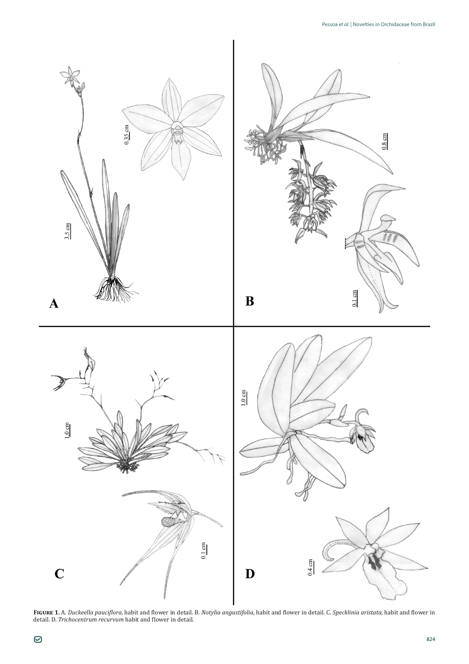

**Figure 1.** A. *Duckeella pauciflora*, habit and flower in detail. B. *Notylia angustifolia*, habit and flower in detail. C. *Specklinia aristata*, habit and flower in detail. D. *Trichocentrum recurvum* habit and flower in detail.